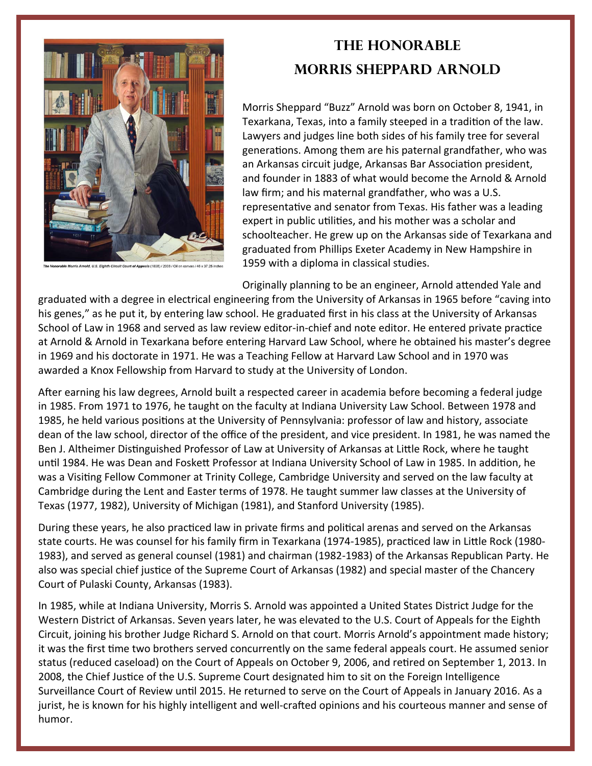

## **The Honorable Morris Sheppard Arnold**

Morris Sheppard "Buzz" Arnold was born on October 8, 1941, in Texarkana, Texas, into a family steeped in a tradition of the law. Lawyers and judges line both sides of his family tree for several generations. Among them are his paternal grandfather, who was an Arkansas circuit judge, Arkansas Bar Association president, and founder in 1883 of what would become the Arnold & Arnold law firm; and his maternal grandfather, who was a U.S. representative and senator from Texas. His father was a leading expert in public utilities, and his mother was a scholar and schoolteacher. He grew up on the Arkansas side of Texarkana and graduated from Phillips Exeter Academy in New Hampshire in 1959 with a diploma in classical studies.

Originally planning to be an engineer, Arnold attended Yale and

graduated with a degree in electrical engineering from the University of Arkansas in 1965 before "caving into his genes," as he put it, by entering law school. He graduated first in his class at the University of Arkansas School of Law in 1968 and served as law review editor-in-chief and note editor. He entered private practice at Arnold & Arnold in Texarkana before entering Harvard Law School, where he obtained his master's degree in 1969 and his doctorate in 1971. He was a Teaching Fellow at Harvard Law School and in 1970 was awarded a Knox Fellowship from Harvard to study at the University of London.

After earning his law degrees, Arnold built a respected career in academia before becoming a federal judge in 1985. From 1971 to 1976, he taught on the faculty at Indiana University Law School. Between 1978 and 1985, he held various positions at the University of Pennsylvania: professor of law and history, associate dean of the law school, director of the office of the president, and vice president. In 1981, he was named the Ben J. Altheimer Distinguished Professor of Law at University of Arkansas at Little Rock, where he taught until 1984. He was Dean and Foskett Professor at Indiana University School of Law in 1985. In addition, he was a Visiting Fellow Commoner at Trinity College, Cambridge University and served on the law faculty at Cambridge during the Lent and Easter terms of 1978. He taught summer law classes at the University of Texas (1977, 1982), University of Michigan (1981), and Stanford University (1985).

During these years, he also practiced law in private firms and political arenas and served on the Arkansas state courts. He was counsel for his family firm in Texarkana (1974-1985), practiced law in Little Rock (1980-1983), and served as general counsel (1981) and chairman (1982‐1983) of the Arkansas Republican Party. He also was special chief justice of the Supreme Court of Arkansas (1982) and special master of the Chancery Court of Pulaski County, Arkansas (1983).

In 1985, while at Indiana University, Morris S. Arnold was appointed a United States District Judge for the Western District of Arkansas. Seven years later, he was elevated to the U.S. Court of Appeals for the Eighth Circuit, joining his brother Judge Richard S. Arnold on that court. Morris Arnold's appointment made history; it was the first time two brothers served concurrently on the same federal appeals court. He assumed senior status (reduced caseload) on the Court of Appeals on October 9, 2006, and retired on September 1, 2013. In 2008, the Chief Justice of the U.S. Supreme Court designated him to sit on the Foreign Intelligence Surveillance Court of Review until 2015. He returned to serve on the Court of Appeals in January 2016. As a jurist, he is known for his highly intelligent and well-crafted opinions and his courteous manner and sense of humor.